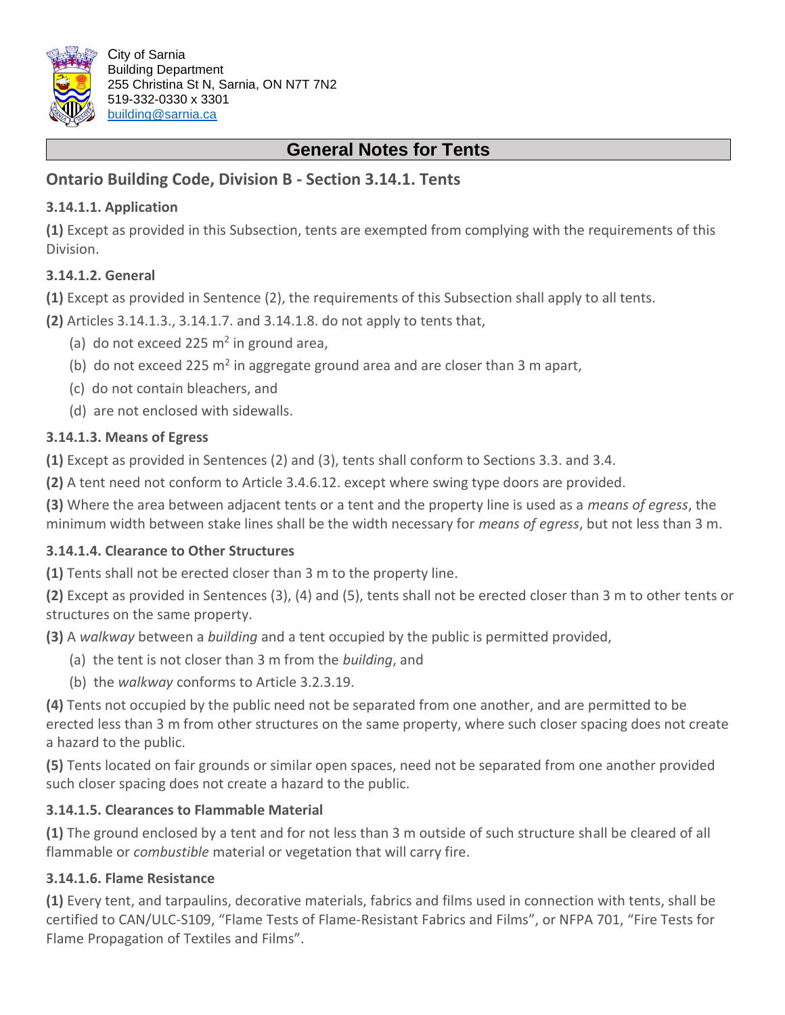

# **General Notes for Tents**

## **Ontario Building Code, Division B - Section 3.14.1. Tents**

### **3.14.1.1. Application**

**(1)** Except as provided in this Subsection, tents are exempted from complying with the requirements of this Division.

#### **3.14.1.2. General**

**(1)** Except as provided in Sentence (2), the requirements of this Subsection shall apply to all tents.

**(2)** Articles 3.14.1.3., 3.14.1.7. and 3.14.1.8. do not apply to tents that,

- (a) do not exceed 225  $m<sup>2</sup>$  in ground area,
- (b) do not exceed 225  $m^2$  in aggregate ground area and are closer than 3 m apart,
- (c) do not contain bleachers, and
- (d) are not enclosed with sidewalls.

#### **3.14.1.3. Means of Egress**

**(1)** Except as provided in Sentences (2) and (3), tents shall conform to Sections 3.3. and 3.4.

**(2)** A tent need not conform to Article 3.4.6.12. except where swing type doors are provided.

**(3)** Where the area between adjacent tents or a tent and the property line is used as a *means of egress*, the minimum width between stake lines shall be the width necessary for *means of egress*, but not less than 3 m.

## **3.14.1.4. Clearance to Other Structures**

**(1)** Tents shall not be erected closer than 3 m to the property line.

**(2)** Except as provided in Sentences (3), (4) and (5), tents shall not be erected closer than 3 m to other tents or structures on the same property.

**(3)** A *walkway* between a *building* and a tent occupied by the public is permitted provided,

- (a) the tent is not closer than 3 m from the *building*, and
- (b) the *walkway* conforms to Article 3.2.3.19.

**(4)** Tents not occupied by the public need not be separated from one another, and are permitted to be erected less than 3 m from other structures on the same property, where such closer spacing does not create a hazard to the public.

**(5)** Tents located on fair grounds or similar open spaces, need not be separated from one another provided such closer spacing does not create a hazard to the public.

## **3.14.1.5. Clearances to Flammable Material**

**(1)** The ground enclosed by a tent and for not less than 3 m outside of such structure shall be cleared of all flammable or *combustible* material or vegetation that will carry fire.

## **3.14.1.6. Flame Resistance**

**(1)** Every tent, and tarpaulins, decorative materials, fabrics and films used in connection with tents, shall be certified to CAN/ULC-S109, "Flame Tests of Flame-Resistant Fabrics and Films", or NFPA 701, "Fire Tests for Flame Propagation of Textiles and Films".